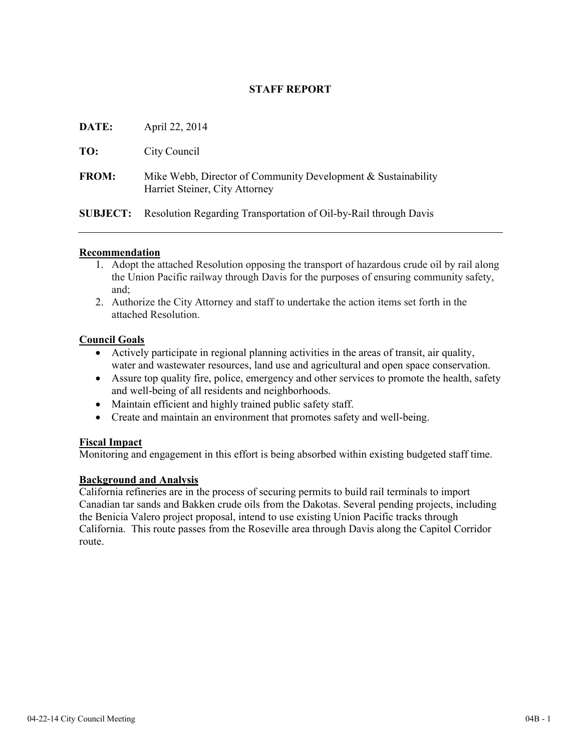# **STAFF REPORT**

| DATE:           | April 22, 2014                                                                                  |
|-----------------|-------------------------------------------------------------------------------------------------|
| TO:             | City Council                                                                                    |
| <b>FROM:</b>    | Mike Webb, Director of Community Development & Sustainability<br>Harriet Steiner, City Attorney |
| <b>SUBJECT:</b> | Resolution Regarding Transportation of Oil-by-Rail through Davis                                |

#### **Recommendation**

- 1. Adopt the attached Resolution opposing the transport of hazardous crude oil by rail along the Union Pacific railway through Davis for the purposes of ensuring community safety, and;
- 2. Authorize the City Attorney and staff to undertake the action items set forth in the attached Resolution.

#### **Council Goals**

- Actively participate in regional planning activities in the areas of transit, air quality, water and wastewater resources, land use and agricultural and open space conservation.
- Assure top quality fire, police, emergency and other services to promote the health, safety and well-being of all residents and neighborhoods.
- Maintain efficient and highly trained public safety staff.
- Create and maintain an environment that promotes safety and well-being.

#### **Fiscal Impact**

Monitoring and engagement in this effort is being absorbed within existing budgeted staff time.

#### **Background and Analysis**

California refineries are in the process of securing permits to build rail terminals to import Canadian tar sands and Bakken crude oils from the Dakotas. Several pending projects, including the Benicia Valero project proposal, intend to use existing Union Pacific tracks through California. This route passes from the Roseville area through Davis along the Capitol Corridor route.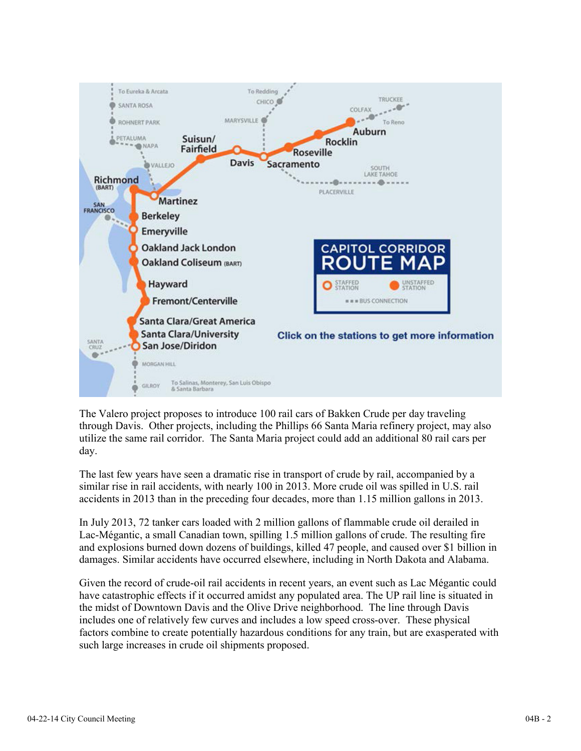

The Valero project proposes to introduce 100 rail cars of Bakken Crude per day traveling through Davis. Other projects, including the Phillips 66 Santa Maria refinery project, may also utilize the same rail corridor. The Santa Maria project could add an additional 80 rail cars per day.

The last few years have seen a dramatic rise in transport of crude by rail, accompanied by a similar rise in rail accidents, with nearly 100 in 2013. More crude oil was spilled in U.S. rail accidents in 2013 than in the preceding four decades, more than 1.15 million gallons in 2013.

In July 2013, 72 tanker cars loaded with 2 million gallons of flammable crude oil derailed in Lac-Mégantic, a small Canadian town, spilling 1.5 million gallons of crude. The resulting fire and explosions burned down dozens of buildings, killed 47 people, and caused over \$1 billion in damages. Similar accidents have occurred elsewhere, including in North Dakota and Alabama.

Given the record of crude-oil rail accidents in recent years, an event such as Lac Mégantic could have catastrophic effects if it occurred amidst any populated area. The UP rail line is situated in the midst of Downtown Davis and the Olive Drive neighborhood. The line through Davis includes one of relatively few curves and includes a low speed cross-over. These physical factors combine to create potentially hazardous conditions for any train, but are exasperated with such large increases in crude oil shipments proposed.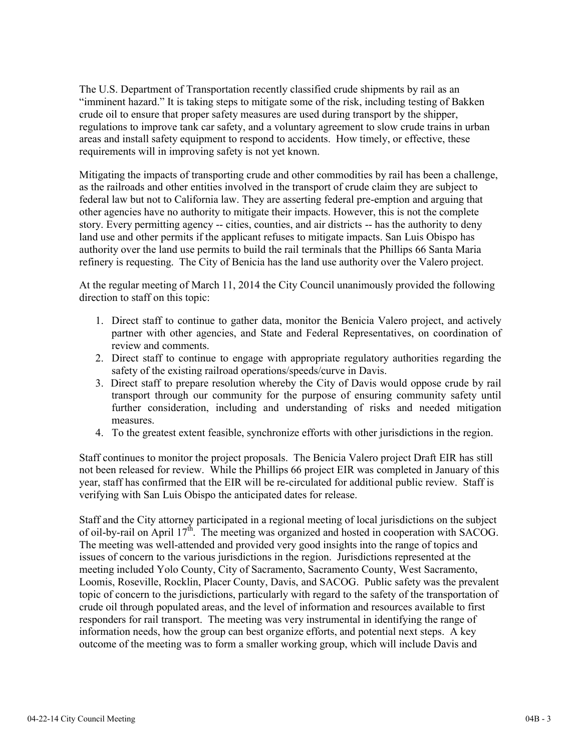The U.S. Department of Transportation recently classified crude shipments by rail as an "imminent hazard." It is taking steps to mitigate some of the risk, including testing of Bakken crude oil to ensure that proper safety measures are used during transport by the shipper, regulations to improve tank car safety, and a voluntary agreement to slow crude trains in urban areas and install safety equipment to respond to accidents. How timely, or effective, these requirements will in improving safety is not yet known.

Mitigating the impacts of transporting crude and other commodities by rail has been a challenge, as the railroads and other entities involved in the transport of crude claim they are subject to federal law but not to California law. They are asserting federal pre-emption and arguing that other agencies have no authority to mitigate their impacts. However, this is not the complete story. Every permitting agency -- cities, counties, and air districts -- has the authority to deny land use and other permits if the applicant refuses to mitigate impacts. San Luis Obispo has authority over the land use permits to build the rail terminals that the Phillips 66 Santa Maria refinery is requesting. The City of Benicia has the land use authority over the Valero project.

At the regular meeting of March 11, 2014 the City Council unanimously provided the following direction to staff on this topic:

- 1. Direct staff to continue to gather data, monitor the Benicia Valero project, and actively partner with other agencies, and State and Federal Representatives, on coordination of review and comments.
- 2. Direct staff to continue to engage with appropriate regulatory authorities regarding the safety of the existing railroad operations/speeds/curve in Davis.
- 3. Direct staff to prepare resolution whereby the City of Davis would oppose crude by rail transport through our community for the purpose of ensuring community safety until further consideration, including and understanding of risks and needed mitigation measures.
- 4. To the greatest extent feasible, synchronize efforts with other jurisdictions in the region.

Staff continues to monitor the project proposals. The Benicia Valero project Draft EIR has still not been released for review. While the Phillips 66 project EIR was completed in January of this year, staff has confirmed that the EIR will be re-circulated for additional public review. Staff is verifying with San Luis Obispo the anticipated dates for release.

Staff and the City attorney participated in a regional meeting of local jurisdictions on the subject of oil-by-rail on April 17<sup>th</sup>. The meeting was organized and hosted in cooperation with SACOG. The meeting was well-attended and provided very good insights into the range of topics and issues of concern to the various jurisdictions in the region. Jurisdictions represented at the meeting included Yolo County, City of Sacramento, Sacramento County, West Sacramento, Loomis, Roseville, Rocklin, Placer County, Davis, and SACOG. Public safety was the prevalent topic of concern to the jurisdictions, particularly with regard to the safety of the transportation of crude oil through populated areas, and the level of information and resources available to first responders for rail transport. The meeting was very instrumental in identifying the range of information needs, how the group can best organize efforts, and potential next steps. A key outcome of the meeting was to form a smaller working group, which will include Davis and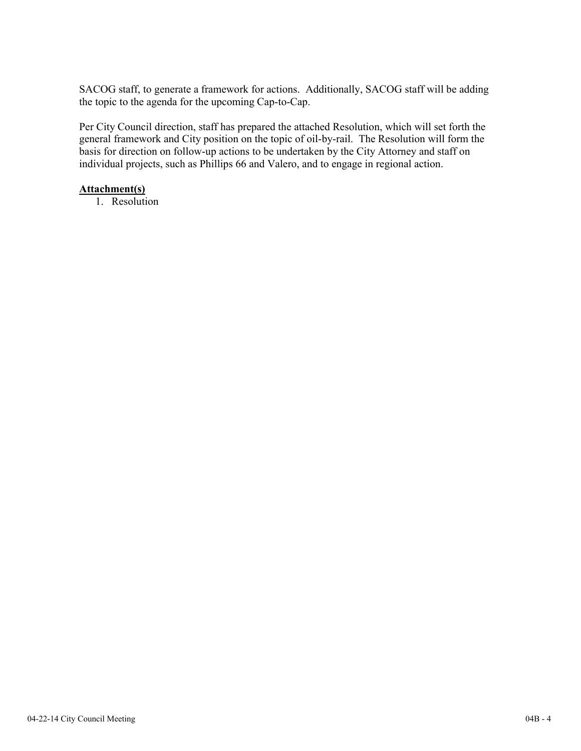SACOG staff, to generate a framework for actions. Additionally, SACOG staff will be adding the topic to the agenda for the upcoming Cap-to-Cap.

Per City Council direction, staff has prepared the attached Resolution, which will set forth the general framework and City position on the topic of oil-by-rail. The Resolution will form the basis for direction on follow-up actions to be undertaken by the City Attorney and staff on individual projects, such as Phillips 66 and Valero, and to engage in regional action.

### **Attachment(s)**

1. Resolution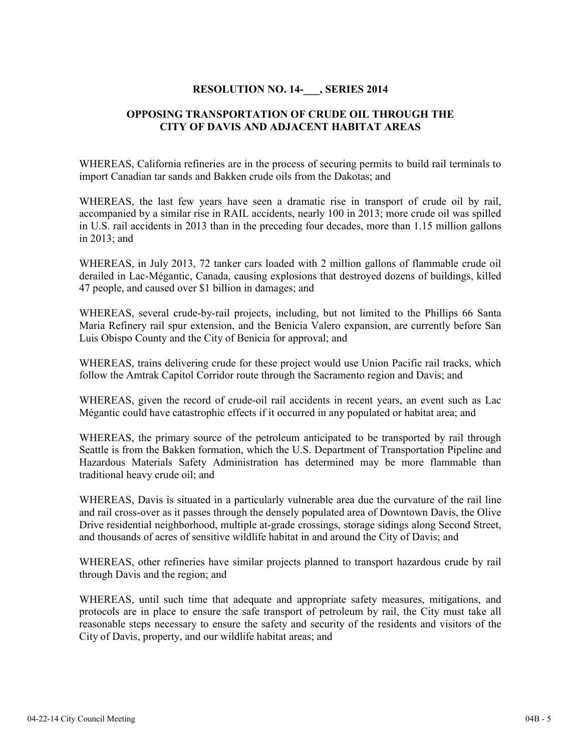### **RESOLUTION NO. 14-\_\_\_, SERIES 2014**

## **OPPOSING TRANSPORTATION OF CRUDE OIL THROUGH THE CITY OF DAVIS AND ADJACENT HABITAT AREAS**

WHEREAS, California refineries are in the process of securing permits to build rail terminals to import Canadian tar sands and Bakken crude oils from the Dakotas; and

WHEREAS, the last few years have seen a dramatic rise in transport of crude oil by rail, accompanied by a similar rise in RAIL accidents, nearly 100 in 2013; more crude oil was spilled in U.S. rail accidents in 2013 than in the preceding four decades, more than 1.15 million gallons in 2013; and

WHEREAS, in July 2013, 72 tanker cars loaded with 2 million gallons of flammable crude oil derailed in Lac-Mégantic, Canada, causing explosions that destroyed dozens of buildings, killed 47 people, and caused over \$1 billion in damages; and

WHEREAS, several crude-by-rail projects, including, but not limited to the Phillips 66 Santa Maria Refinery rail spur extension, and the Benicia Valero expansion, are currently before San Luis Obispo County and the City of Benicia for approval; and

WHEREAS, trains delivering crude for these project would use Union Pacific rail tracks, which follow the Amtrak Capitol Corridor route through the Sacramento region and Davis; and

WHEREAS, given the record of crude-oil rail accidents in recent years, an event such as Lac Mégantic could have catastrophic effects if it occurred in any populated or habitat area; and

WHEREAS, the primary source of the petroleum anticipated to be transported by rail through Seattle is from the Bakken formation, which the U.S. Department of Transportation Pipeline and Hazardous Materials Safety Administration has determined may be more flammable than traditional heavy crude oil; and

WHEREAS, Davis is situated in a particularly vulnerable area due the curvature of the rail line and rail cross-over as it passes through the densely populated area of Downtown Davis, the Olive Drive residential neighborhood, multiple at-grade crossings, storage sidings along Second Street, and thousands of acres of sensitive wildlife habitat in and around the City of Davis; and

WHEREAS, other refineries have similar projects planned to transport hazardous crude by rail through Davis and the region; and

WHEREAS, until such time that adequate and appropriate safety measures, mitigations, and protocols are in place to ensure the safe transport of petroleum by rail, the City must take all reasonable steps necessary to ensure the safety and security of the residents and visitors of the City of Davis, property, and our wildlife habitat areas; and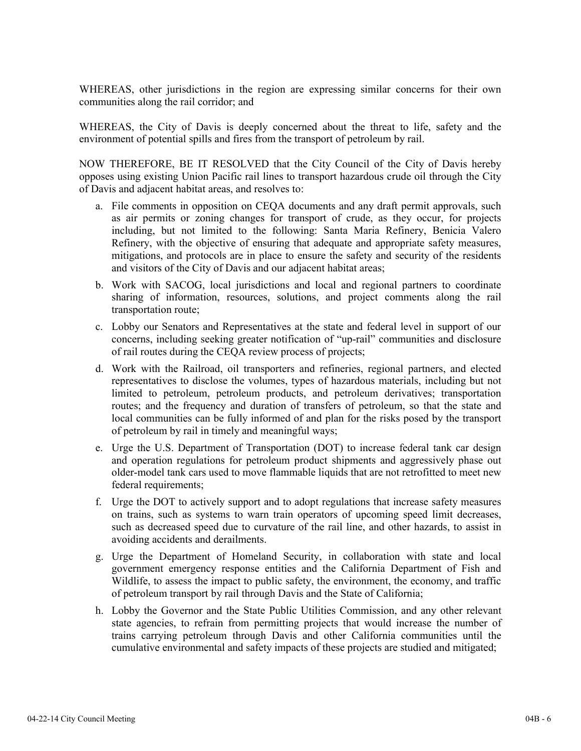WHEREAS, other jurisdictions in the region are expressing similar concerns for their own communities along the rail corridor; and

WHEREAS, the City of Davis is deeply concerned about the threat to life, safety and the environment of potential spills and fires from the transport of petroleum by rail.

NOW THEREFORE, BE IT RESOLVED that the City Council of the City of Davis hereby opposes using existing Union Pacific rail lines to transport hazardous crude oil through the City of Davis and adjacent habitat areas, and resolves to:

- a. File comments in opposition on CEQA documents and any draft permit approvals, such as air permits or zoning changes for transport of crude, as they occur, for projects including, but not limited to the following: Santa Maria Refinery, Benicia Valero Refinery, with the objective of ensuring that adequate and appropriate safety measures, mitigations, and protocols are in place to ensure the safety and security of the residents and visitors of the City of Davis and our adjacent habitat areas;
- b. Work with SACOG, local jurisdictions and local and regional partners to coordinate sharing of information, resources, solutions, and project comments along the rail transportation route;
- c. Lobby our Senators and Representatives at the state and federal level in support of our concerns, including seeking greater notification of "up-rail" communities and disclosure of rail routes during the CEQA review process of projects;
- d. Work with the Railroad, oil transporters and refineries, regional partners, and elected representatives to disclose the volumes, types of hazardous materials, including but not limited to petroleum, petroleum products, and petroleum derivatives; transportation routes; and the frequency and duration of transfers of petroleum, so that the state and local communities can be fully informed of and plan for the risks posed by the transport of petroleum by rail in timely and meaningful ways;
- e. Urge the U.S. Department of Transportation (DOT) to increase federal tank car design and operation regulations for petroleum product shipments and aggressively phase out older-model tank cars used to move flammable liquids that are not retrofitted to meet new federal requirements;
- f. Urge the DOT to actively support and to adopt regulations that increase safety measures on trains, such as systems to warn train operators of upcoming speed limit decreases, such as decreased speed due to curvature of the rail line, and other hazards, to assist in avoiding accidents and derailments.
- g. Urge the Department of Homeland Security, in collaboration with state and local government emergency response entities and the California Department of Fish and Wildlife, to assess the impact to public safety, the environment, the economy, and traffic of petroleum transport by rail through Davis and the State of California;
- h. Lobby the Governor and the State Public Utilities Commission, and any other relevant state agencies, to refrain from permitting projects that would increase the number of trains carrying petroleum through Davis and other California communities until the cumulative environmental and safety impacts of these projects are studied and mitigated;